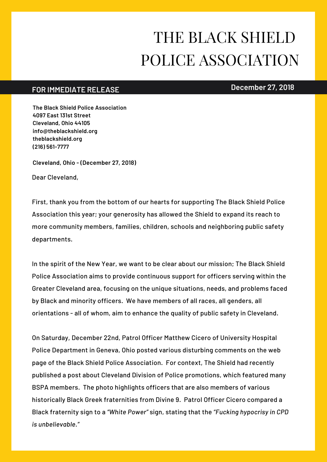## THE BLACK SHIELD POLICE ASSOCIATION

## **December 27, 2018 FOR IMMEDIATE RELEASE**

**The Black Shield Police Association 4097 East 131st Street Cleveland, Ohio 44105 info@theblackshield.org theblackshield.org (216) 561-7777**

**Cleveland, Ohio - (December 27, 2018)**

Dear Cleveland,

First, thank you from the bottom of our hearts for supporting The Black Shield Police Association this year; your generosity has allowed the Shield to expand its reach to more community members, families, children, schools and neighboring public safety departments.

In the spirit of the New Year, we want to be clear about our mission; The Black Shield Police Association aims to provide continuous support for officers serving within the Greater Cleveland area, focusing on the unique situations, needs, and problems faced by Black and minority officers. We have members of all races, all genders, all orientations - all of whom, aim to enhance the quality of public safety in Cleveland.

On Saturday, December 22nd, Patrol Officer Matthew Cicero of University Hospital Police Department in Geneva, Ohio posted various disturbing comments on the web page of the Black Shield Police Association. For context, The Shield had recently published a post about Cleveland Division of Police promotions, which featured many BSPA members. The photo highlights officers that are also members of various historically Black Greek fraternities from Divine 9. Patrol Officer Cicero compared a Black fraternity sign to a *"White Power"* sign, stating that the *"Fucking hypocrisy in CPD is unbelievable."*